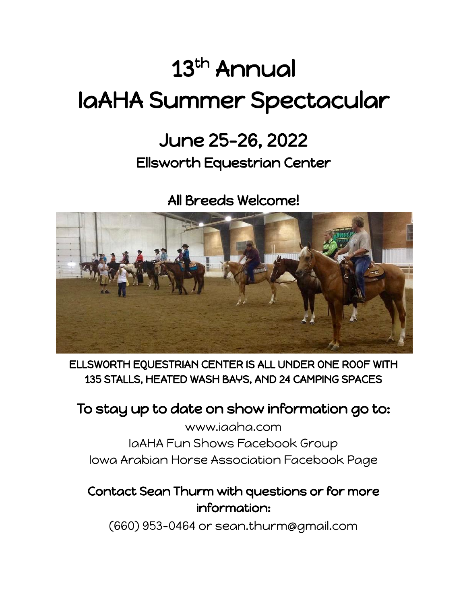# 13<sup>th</sup> Annual IaAHA Summer Spectacular

## June 25-26, 2022

## Ellsworth Equestrian Center

All Breeds Welcome!



ELLSWORTH EQUESTRIAN CENTER IS ALL UNDER ONE ROOF WITH 135 STALLS, HEATED WASH BAYS, AND 24 CAMPING SPACES

## To stay up to date on show information go to:

[www.iaaha.com](http://www.iaaha.com) IaAHA Fun Shows [Facebook](https://www.facebook.com/groups/370009403176/) Group Iowa Arabian Horse [Association](https://www.facebook.com/iowaarabianhorseassociation/) Facebook Page

### Contact Sean Thurm with questions or for more information:

(660) 953-0464 or [sean.thurm@gmail.com](mailto:sean.thurm@gmail.com)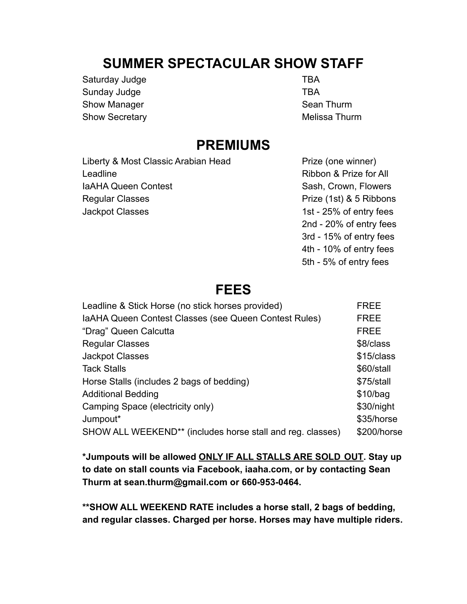## **SUMMER SPECTACULAR SHOW STAFF**

Saturday Judge TBA Sunday Judge TBA Show Manager Show Manager Sean Thurm Show Secretary **Melissa Thurm** Melissa Thurm

### **PREMIUMS**

Liberty & Most Classic Arabian Head Prize (one winner) Leadline **Ribbon & Prize for All** IaAHA Queen Contest Sash, Crown, Flowers Regular Classes **Prize (1st) & 5 Ribbons** Jackpot Classes 1st - 25% of entry fees

2nd - 20% of entry fees 3rd - 15% of entry fees 4th - 10% of entry fees 5th - 5% of entry fees

## **FEES**

| Leadline & Stick Horse (no stick horses provided)          | FREE        |
|------------------------------------------------------------|-------------|
| IaAHA Queen Contest Classes (see Queen Contest Rules)      | <b>FREE</b> |
| "Drag" Queen Calcutta                                      | <b>FREE</b> |
| <b>Regular Classes</b>                                     | \$8/class   |
| <b>Jackpot Classes</b>                                     | \$15/class  |
| <b>Tack Stalls</b>                                         | \$60/stall  |
| Horse Stalls (includes 2 bags of bedding)                  | \$75/stall  |
| <b>Additional Bedding</b>                                  | \$10/baq    |
| Camping Space (electricity only)                           | \$30/night  |
| Jumpout*                                                   | \$35/horse  |
| SHOW ALL WEEKEND** (includes horse stall and reg. classes) | \$200/horse |

**\*Jumpouts will be allowed ONLY IF ALL STALLS ARE SOLD OUT. Stay up to date on stall counts via Facebook, [iaaha.com](http://www.iowaarabianhorseassociation.com/), or by contacting Sean Thurm at [sean.thurm@gmail.com](mailto:sean.thurm@gmail.com) or 660-953-0464.**

**\*\*SHOW ALL WEEKEND RATE includes a horse stall, 2 bags of bedding, and regular classes. Charged per horse. Horses may have multiple riders.**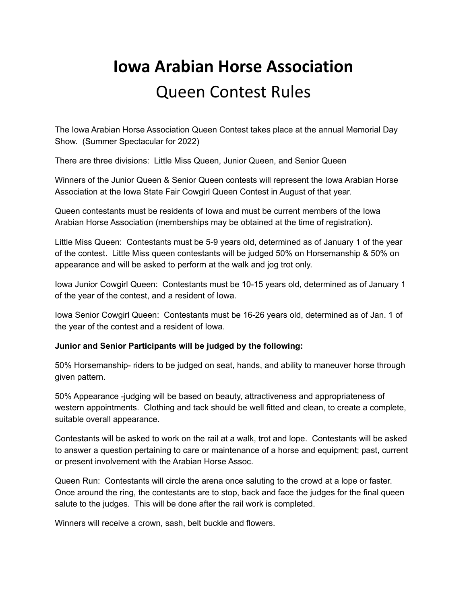## **Iowa Arabian Horse Association** Queen Contest Rules

The Iowa Arabian Horse Association Queen Contest takes place at the annual Memorial Day Show. (Summer Spectacular for 2022)

There are three divisions: Little Miss Queen, Junior Queen, and Senior Queen

Winners of the Junior Queen & Senior Queen contests will represent the Iowa Arabian Horse Association at the Iowa State Fair Cowgirl Queen Contest in August of that year.

Queen contestants must be residents of Iowa and must be current members of the Iowa Arabian Horse Association (memberships may be obtained at the time of registration).

Little Miss Queen: Contestants must be 5-9 years old, determined as of January 1 of the year of the contest. Little Miss queen contestants will be judged 50% on Horsemanship & 50% on appearance and will be asked to perform at the walk and jog trot only.

Iowa Junior Cowgirl Queen: Contestants must be 10-15 years old, determined as of January 1 of the year of the contest, and a resident of Iowa.

Iowa Senior Cowgirl Queen: Contestants must be 16-26 years old, determined as of Jan. 1 of the year of the contest and a resident of Iowa.

### **Junior and Senior Participants will be judged by the following:**

50% Horsemanship- riders to be judged on seat, hands, and ability to maneuver horse through given pattern.

50% Appearance -judging will be based on beauty, attractiveness and appropriateness of western appointments. Clothing and tack should be well fitted and clean, to create a complete, suitable overall appearance.

Contestants will be asked to work on the rail at a walk, trot and lope. Contestants will be asked to answer a question pertaining to care or maintenance of a horse and equipment; past, current or present involvement with the Arabian Horse Assoc.

Queen Run: Contestants will circle the arena once saluting to the crowd at a lope or faster. Once around the ring, the contestants are to stop, back and face the judges for the final queen salute to the judges. This will be done after the rail work is completed.

Winners will receive a crown, sash, belt buckle and flowers.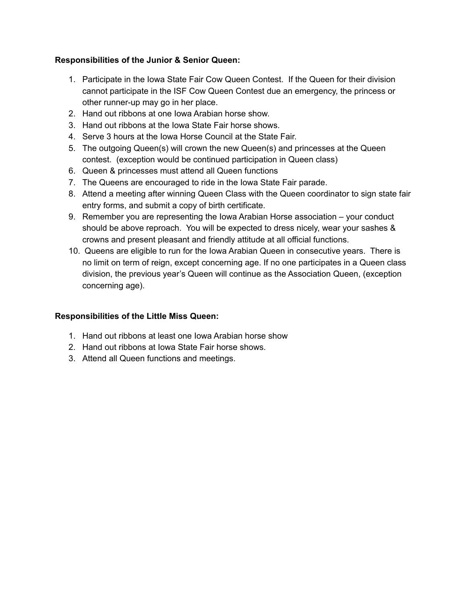### **Responsibilities of the Junior & Senior Queen:**

- 1. Participate in the Iowa State Fair Cow Queen Contest. If the Queen for their division cannot participate in the ISF Cow Queen Contest due an emergency, the princess or other runner-up may go in her place.
- 2. Hand out ribbons at one Iowa Arabian horse show.
- 3. Hand out ribbons at the Iowa State Fair horse shows.
- 4. Serve 3 hours at the Iowa Horse Council at the State Fair.
- 5. The outgoing Queen(s) will crown the new Queen(s) and princesses at the Queen contest. (exception would be continued participation in Queen class)
- 6. Queen & princesses must attend all Queen functions
- 7. The Queens are encouraged to ride in the Iowa State Fair parade.
- 8. Attend a meeting after winning Queen Class with the Queen coordinator to sign state fair entry forms, and submit a copy of birth certificate.
- 9. Remember you are representing the Iowa Arabian Horse association your conduct should be above reproach. You will be expected to dress nicely, wear your sashes & crowns and present pleasant and friendly attitude at all official functions.
- 10. Queens are eligible to run for the Iowa Arabian Queen in consecutive years. There is no limit on term of reign, except concerning age. If no one participates in a Queen class division, the previous year's Queen will continue as the Association Queen, (exception concerning age).

### **Responsibilities of the Little Miss Queen:**

- 1. Hand out ribbons at least one Iowa Arabian horse show
- 2. Hand out ribbons at Iowa State Fair horse shows.
- 3. Attend all Queen functions and meetings.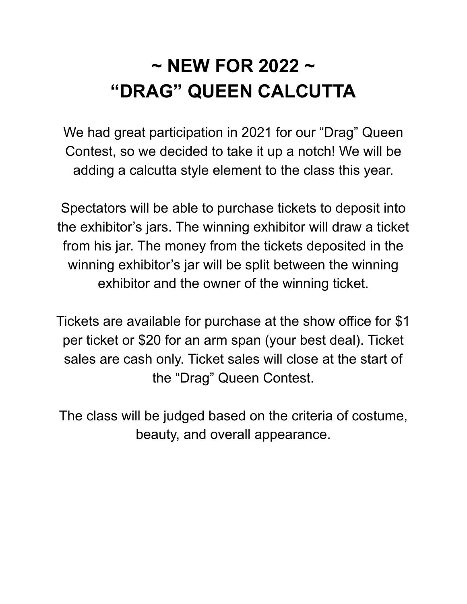## **~ NEW FOR 2022 ~ "DRAG" QUEEN CALCUTTA**

We had great participation in 2021 for our "Drag" Queen Contest, so we decided to take it up a notch! We will be adding a calcutta style element to the class this year.

Spectators will be able to purchase tickets to deposit into the exhibitor's jars. The winning exhibitor will draw a ticket from his jar. The money from the tickets deposited in the winning exhibitor's jar will be split between the winning exhibitor and the owner of the winning ticket.

Tickets are available for purchase at the show office for \$1 per ticket or \$20 for an arm span (your best deal). Ticket sales are cash only. Ticket sales will close at the start of the "Drag" Queen Contest.

The class will be judged based on the criteria of costume, beauty, and overall appearance.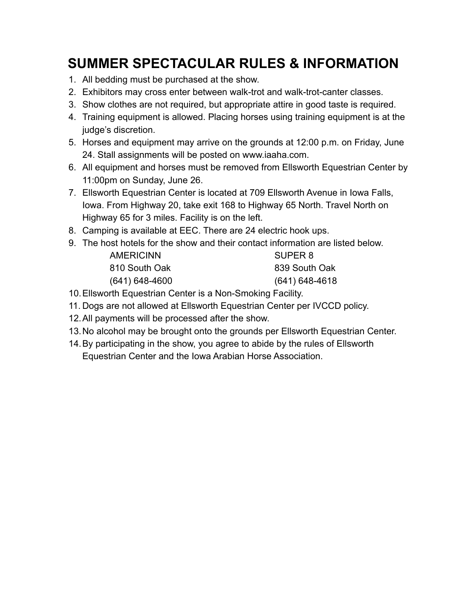## **SUMMER SPECTACULAR RULES & INFORMATION**

- 1. All bedding must be purchased at the show.
- 2. Exhibitors may cross enter between walk-trot and walk-trot-canter classes.
- 3. Show clothes are not required, but appropriate attire in good taste is required.
- 4. Training equipment is allowed. Placing horses using training equipment is at the judge's discretion.
- 5. Horses and equipment may arrive on the grounds at 12:00 p.m. on Friday, June 24. Stall assignments will be posted on www.iaaha.com.
- 6. All equipment and horses must be removed from Ellsworth Equestrian Center by 11:00pm on Sunday, June 26.
- 7. Ellsworth Equestrian Center is located at 709 Ellsworth Avenue in Iowa Falls, Iowa. From Highway 20, take exit 168 to Highway 65 North. Travel North on Highway 65 for 3 miles. Facility is on the left.
- 8. Camping is available at EEC. There are 24 electric hook ups.
- 9. The host hotels for the show and their contact information are listed below.

| <b>AMERICINN</b>   | SUPER 8            |
|--------------------|--------------------|
| 810 South Oak      | 839 South Oak      |
| $(641) 648 - 4600$ | $(641) 648 - 4618$ |

- 10.Ellsworth Equestrian Center is a Non-Smoking Facility.
- 11. Dogs are not allowed at Ellsworth Equestrian Center per IVCCD policy.
- 12.All payments will be processed after the show.
- 13.No alcohol may be brought onto the grounds per Ellsworth Equestrian Center.
- 14.By participating in the show, you agree to abide by the rules of Ellsworth Equestrian Center and the Iowa Arabian Horse Association.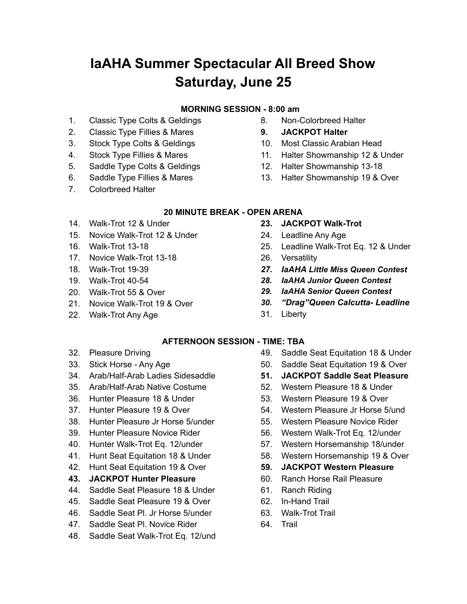## **IaAHA Summer Spectacular All Breed Show Saturday, June 25**

### **MORNING SESSION - 8:00 am**

- 1. Classic Type Colts & Geldings
- 2. Classic Type Fillies & Mares
- 3. Stock Type Colts & Geldings
- 4. Stock Type Fillies & Mares
- 5. Saddle Type Colts & Geldings
- 6. Saddle Type Fillies & Mares
- 7. Colorbreed Halter
- 8. Non-Colorbreed Halter
- **9. JACKPOT Halter**
- 10. Most Classic Arabian Head
- 11. Halter Showmanship 12 & Under
- 12. Halter Showmanship 13-18
- 13. Halter Showmanship 19 & Over

### **20 MINUTE BREAK - OPEN ARENA**

- 14. Walk-Trot 12 & Under
- 15. Novice Walk-Trot 12 & Under
- 16. Walk-Trot 13-18
- 17. Novice Walk-Trot 13-18
- 18. Walk-Trot 19-39
- 19. Walk-Trot 40-54
- 20. Walk-Trot 55 & Over
- 21. Novice Walk-Trot 19 & Over
- 22. Walk-Trot Any Age
- **23. JACKPOT Walk-Trot**
- 24. Leadline Any Age
- 25. Leadline Walk-Trot Eq. 12 & Under
- 26. Versatility
- *27. IaAHA Little Miss Queen Contest*
- *28. IaAHA Junior Queen Contest*
- *29. IaAHA Senior Queen Contest*
- *30. "Drag"Queen Calcutta- Leadline*
- 31. Liberty

### **AFTERNOON SESSION - TIME: TBA**

- 32. Pleasure Driving
- 33. Stick Horse Any Age
- 34. Arab/Half-Arab Ladies Sidesaddle
- 35. Arab/Half-Arab Native Costume
- 36. Hunter Pleasure 18 & Under
- 37. Hunter Pleasure 19 & Over
- 38. Hunter Pleasure Jr Horse 5/under
- 39. Hunter Pleasure Novice Rider
- 40. Hunter Walk-Trot Eq. 12/under
- 41. Hunt Seat Equitation 18 & Under
- 42. Hunt Seat Equitation 19 & Over
- **43. JACKPOT Hunter Pleasure**
- 44. Saddle Seat Pleasure 18 & Under
- 45. Saddle Seat Pleasure 19 & Over
- 46. Saddle Seat Pl. Jr Horse 5/under
- 47. Saddle Seat Pl. Novice Rider
- 48. Saddle Seat Walk-Trot Eq. 12/und
- 49. Saddle Seat Equitation 18 & Under
- 50. Saddle Seat Equitation 19 & Over
- **51. JACKPOT Saddle Seat Pleasure**
- 52. Western Pleasure 18 & Under
- 53. Western Pleasure 19 & Over
- 54. Western Pleasure Jr Horse 5/und
- 55. Western Pleasure Novice Rider
- 56. Western Walk-Trot Eq. 12/under
- 57. Western Horsemanship 18/under
- 58. Western Horsemanship 19 & Over
- **59. JACKPOT Western Pleasure**
- 60. Ranch Horse Rail Pleasure
- 61. Ranch Riding
- 62. In-Hand Trail
- 63. Walk-Trot Trail
- 64. Trail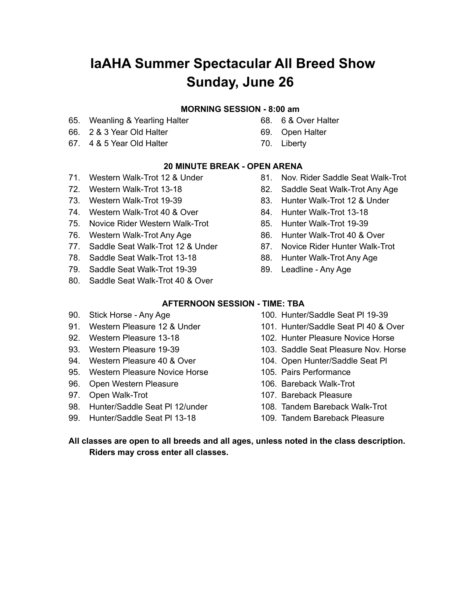## **IaAHA Summer Spectacular All Breed Show Sunday, June 26**

#### **MORNING SESSION - 8:00 am**

- 65. Weanling & Yearling Halter
- 66. 2 & 3 Year Old Halter
- 67. 4 & 5 Year Old Halter

69. Open Halter

68. 6 & Over Halter

70. Liberty

### **20 MINUTE BREAK - OPEN ARENA**

- 71. Western Walk-Trot 12 & Under
- 72. Western Walk-Trot 13-18
- 73. Western Walk-Trot 19-39
- 74. Western Walk-Trot 40 & Over
- 75. Novice Rider Western Walk-Trot
- 76. Western Walk-Trot Any Age
- 77. Saddle Seat Walk-Trot 12 & Under
- 78. Saddle Seat Walk-Trot 13-18
- 79. Saddle Seat Walk-Trot 19-39
- 80. Saddle Seat Walk-Trot 40 & Over
- 81. Nov. Rider Saddle Seat Walk-Trot
- 82. Saddle Seat Walk-Trot Any Age
- 83. Hunter Walk-Trot 12 & Under
- 84. Hunter Walk-Trot 13-18
- 85. Hunter Walk-Trot 19-39
- 86. Hunter Walk-Trot 40 & Over
- 87. Novice Rider Hunter Walk-Trot
- 88. Hunter Walk-Trot Any Age
- 89. Leadline Any Age

### **AFTERNOON SESSION - TIME: TBA**

- 90. Stick Horse Any Age
- 91. Western Pleasure 12 & Under
- 92. Western Pleasure 13-18
- 93. Western Pleasure 19-39
- 94. Western Pleasure 40 & Over
- 95. Western Pleasure Novice Horse
- 96. Open Western Pleasure
- 97. Open Walk-Trot
- 98. Hunter/Saddle Seat Pl 12/under
- 99. Hunter/Saddle Seat Pl 13-18
- 100. Hunter/Saddle Seat Pl 19-39
- 101. Hunter/Saddle Seat Pl 40 & Over
- 102. Hunter Pleasure Novice Horse
- 103. Saddle Seat Pleasure Nov. Horse
- 104. Open Hunter/Saddle Seat Pl
- 105. Pairs Performance
- 106. Bareback Walk-Trot
- 107. Bareback Pleasure
- 108. Tandem Bareback Walk-Trot
- 109. Tandem Bareback Pleasure

**All classes are open to all breeds and all ages, unless noted in the class description. Riders may cross enter all classes.**

- 
-